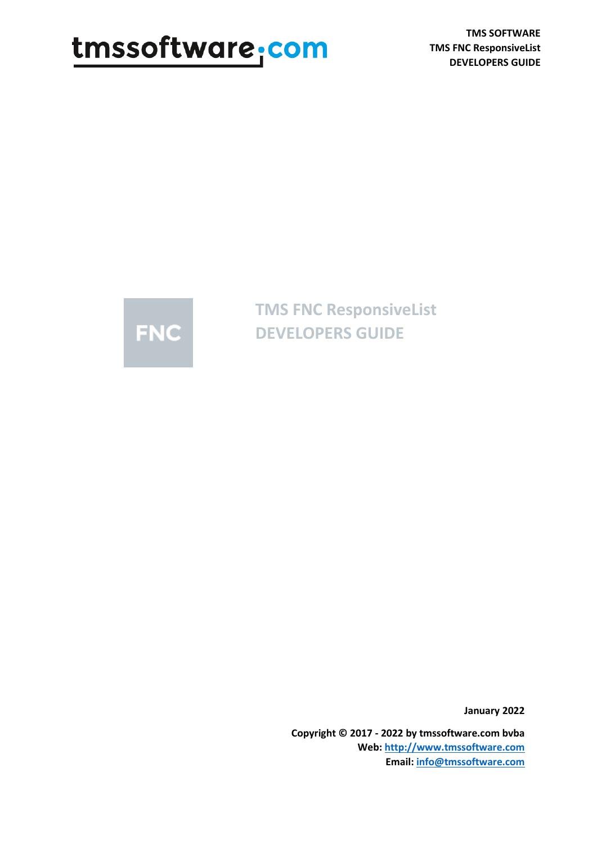# tmssoftware, com

**TMS SOFTWARE TMS FNC ResponsiveList DEVELOPERS GUIDE**



**TMS FNC ResponsiveList DEVELOPERS GUIDE**

**January 2022**

**Copyright © 2017 - 2022 by tmssoftware.com bvba Web[: http://www.tmssoftware.com](http://www.tmssoftware.com/) Email: [info@tmssoftware.com](mailto:info@tmssoftware.com)**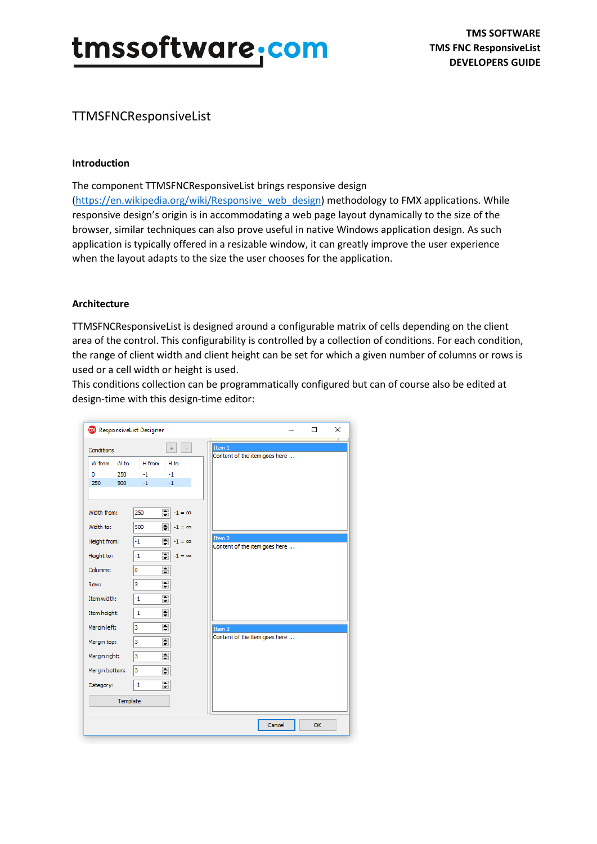### TTMSFNCResponsiveList

#### **Introduction**

The component TTMSFNCResponsiveList brings responsive design

[\(https://en.wikipedia.org/wiki/Responsive\\_web\\_design\)](https://en.wikipedia.org/wiki/Responsive_web_design) methodology to FMX applications. While responsive design's origin is in accommodating a web page layout dynamically to the size of the browser, similar techniques can also prove useful in native Windows application design. As such application is typically offered in a resizable window, it can greatly improve the user experience when the layout adapts to the size the user chooses for the application.

#### **Architecture**

TTMSFNCResponsiveList is designed around a configurable matrix of cells depending on the client area of the control. This configurability is controlled by a collection of conditions. For each condition, the range of client width and client height can be set for which a given number of columns or rows is used or a cell width or height is used.

This conditions collection can be programmatically configured but can of course also be edited at design-time with this design-time editor:

| <b>DX</b> ResponsiveList Designer |                                 | ×<br>□                        |
|-----------------------------------|---------------------------------|-------------------------------|
| Conditions                        | $\omega$<br>$+$                 | Item 1                        |
| W from<br>W to                    | H from<br>H <sub>to</sub>       | Content of the item goes here |
| 0<br>250                          | $-1$<br>$-1$                    |                               |
| 500<br>250                        | $-1$<br>$-1$                    |                               |
| Width from:                       | ÷<br>250<br>$-1 = \infty$       |                               |
| Width to:                         | $\div$<br>500<br>$-1 = \infty$  |                               |
| Height from:                      | $\div$<br>$-1$<br>$-1 = \infty$ | Item 2                        |
|                                   |                                 | Content of the item goes here |
| Height to:                        | $\div$<br>$-1 = \infty$<br>$-1$ |                               |
| Columns:                          | $\div$<br>o                     |                               |
| Row:                              | $\div$<br>3                     |                               |
| Item width:                       | $\div$<br>$-1$                  |                               |
| Item height:                      | $\div$<br>$-1$                  |                               |
| Margin left:                      | $\div$<br>3                     | Item 3                        |
| Margin top:                       | $\div$<br>3                     | Content of the item goes here |
| Margin right:                     | $\div$<br>3                     |                               |
| Margin bottom:                    | $\div$<br>3                     |                               |
| Category:                         | $\div$<br>$-1$                  |                               |
| Template                          |                                 |                               |
|                                   |                                 | Cancel<br>OK                  |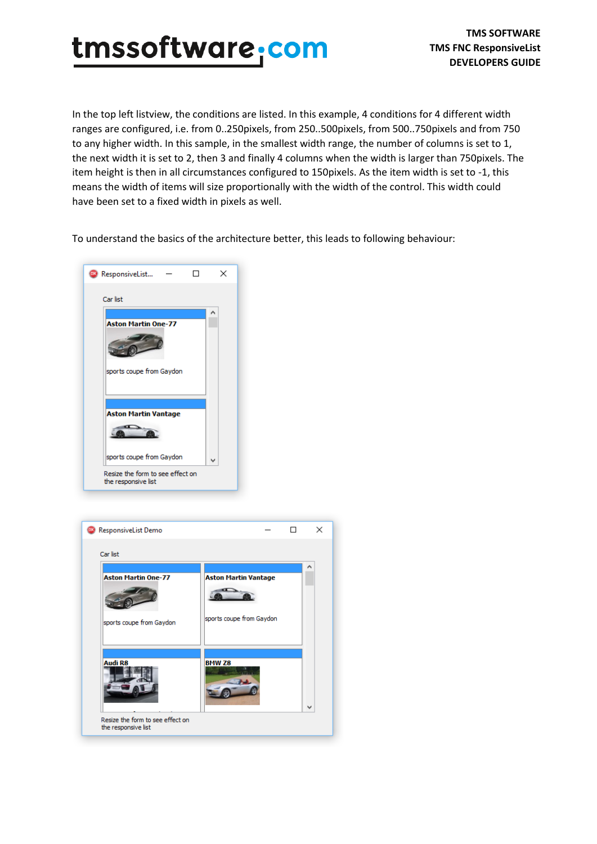In the top left listview, the conditions are listed. In this example, 4 conditions for 4 different width ranges are configured, i.e. from 0..250pixels, from 250..500pixels, from 500..750pixels and from 750 to any higher width. In this sample, in the smallest width range, the number of columns is set to 1, the next width it is set to 2, then 3 and finally 4 columns when the width is larger than 750pixels. The item height is then in all circumstances configured to 150pixels. As the item width is set to -1, this means the width of items will size proportionally with the width of the control. This width could have been set to a fixed width in pixels as well.

To understand the basics of the architecture better, this leads to following behaviour:



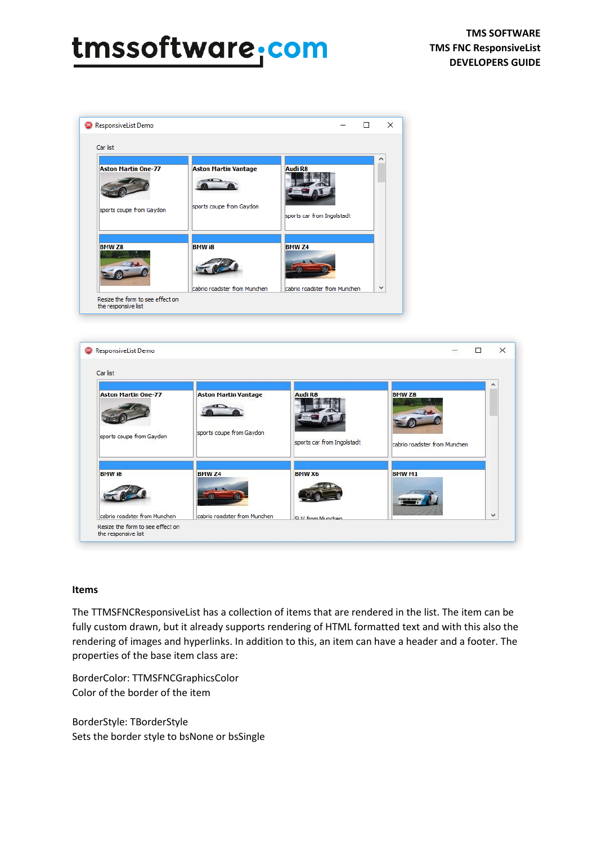## tmssoftware.com

|                                                        |                                                         |                                       | ∧ |
|--------------------------------------------------------|---------------------------------------------------------|---------------------------------------|---|
| <b>Aston Martin One-77</b><br>sports coupe from Gaydon | <b>Aston Martin Vantage</b><br>sports coupe from Gaydon | Audi R8<br>sports car from Ingolstadt |   |
| <b>BMW Z8</b>                                          | <b>BMW i8</b>                                           | <b>BMW Z4</b>                         |   |



#### **Items**

The TTMSFNCResponsiveList has a collection of items that are rendered in the list. The item can be fully custom drawn, but it already supports rendering of HTML formatted text and with this also the rendering of images and hyperlinks. In addition to this, an item can have a header and a footer. The properties of the base item class are:

BorderColor: TTMSFNCGraphicsColor Color of the border of the item

BorderStyle: TBorderStyle Sets the border style to bsNone or bsSingle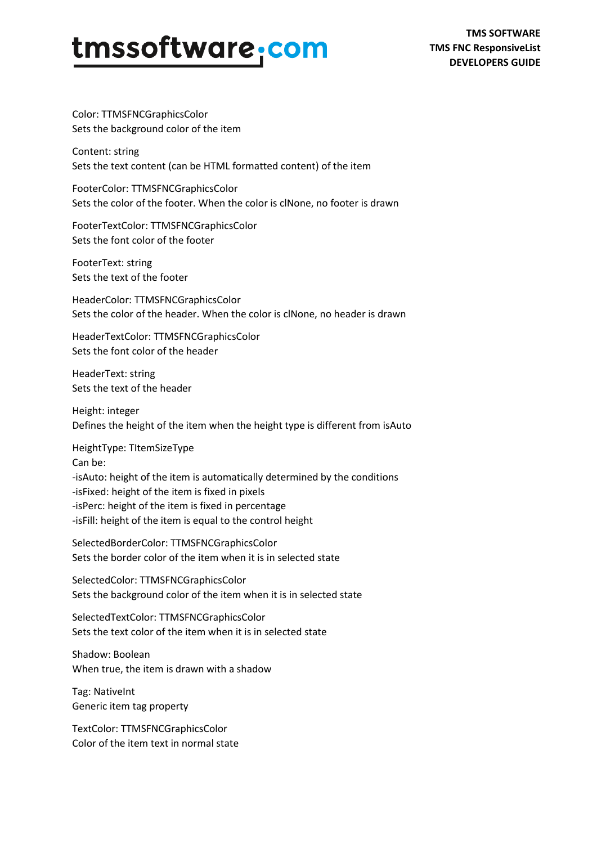Color: TTMSFNCGraphicsColor Sets the background color of the item

Content: string Sets the text content (can be HTML formatted content) of the item

FooterColor: TTMSFNCGraphicsColor Sets the color of the footer. When the color is clNone, no footer is drawn

FooterTextColor: TTMSFNCGraphicsColor Sets the font color of the footer

FooterText: string Sets the text of the footer

HeaderColor: TTMSFNCGraphicsColor Sets the color of the header. When the color is clNone, no header is drawn

HeaderTextColor: TTMSFNCGraphicsColor Sets the font color of the header

HeaderText: string Sets the text of the header

Height: integer Defines the height of the item when the height type is different from isAuto

HeightType: TItemSizeType Can be: -isAuto: height of the item is automatically determined by the conditions -isFixed: height of the item is fixed in pixels -isPerc: height of the item is fixed in percentage -isFill: height of the item is equal to the control height

SelectedBorderColor: TTMSFNCGraphicsColor Sets the border color of the item when it is in selected state

SelectedColor: TTMSFNCGraphicsColor Sets the background color of the item when it is in selected state

SelectedTextColor: TTMSFNCGraphicsColor Sets the text color of the item when it is in selected state

Shadow: Boolean When true, the item is drawn with a shadow

Tag: NativeInt Generic item tag property

TextColor: TTMSFNCGraphicsColor Color of the item text in normal state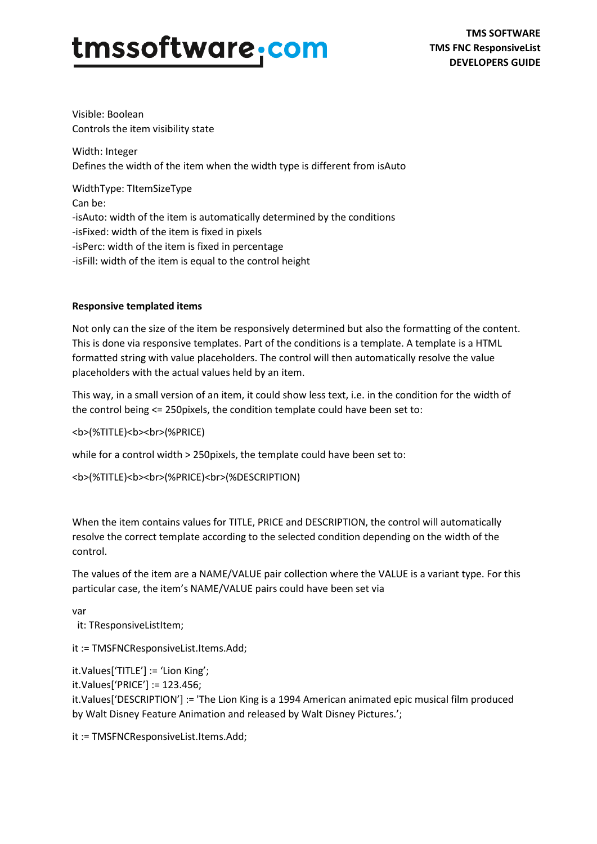Visible: Boolean Controls the item visibility state

Width: Integer Defines the width of the item when the width type is different from isAuto

WidthType: TItemSizeType Can be: -isAuto: width of the item is automatically determined by the conditions -isFixed: width of the item is fixed in pixels -isPerc: width of the item is fixed in percentage -isFill: width of the item is equal to the control height

#### **Responsive templated items**

Not only can the size of the item be responsively determined but also the formatting of the content. This is done via responsive templates. Part of the conditions is a template. A template is a HTML formatted string with value placeholders. The control will then automatically resolve the value placeholders with the actual values held by an item.

This way, in a small version of an item, it could show less text, i.e. in the condition for the width of the control being <= 250pixels, the condition template could have been set to:

<b>(%TITLE)<b><br>(%PRICE)

while for a control width > 250pixels, the template could have been set to:

<b>(%TITLE)<b><br>(%PRICE)<br>(%DESCRIPTION)

When the item contains values for TITLE, PRICE and DESCRIPTION, the control will automatically resolve the correct template according to the selected condition depending on the width of the control.

The values of the item are a NAME/VALUE pair collection where the VALUE is a variant type. For this particular case, the item's NAME/VALUE pairs could have been set via

var

it: TResponsiveListItem;

it := TMSFNCResponsiveList.Items.Add;

it.Values['TITLE'] := 'Lion King';

it.Values['PRICE'] := 123.456;

it.Values['DESCRIPTION'] := 'The Lion King is a 1994 American animated epic musical film produced by Walt Disney Feature Animation and released by Walt Disney Pictures.';

it := TMSFNCResponsiveList.Items.Add;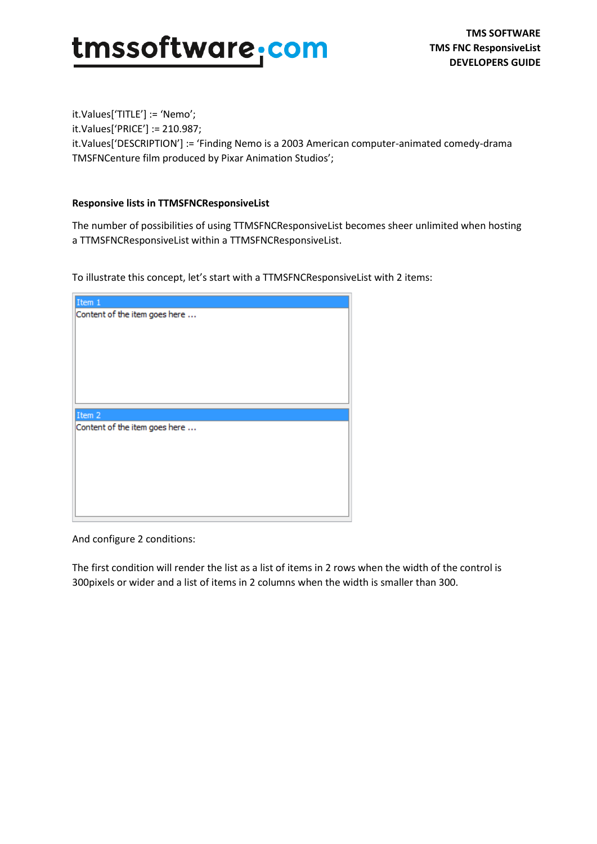**TMS SOFTWARE TMS FNC ResponsiveList DEVELOPERS GUIDE**

it.Values['TITLE'] := 'Nemo'; it.Values['PRICE'] := 210.987; it.Values['DESCRIPTION'] := 'Finding Nemo is a 2003 American computer-animated comedy-drama TMSFNCenture film produced by Pixar Animation Studios';

#### **Responsive lists in TTMSFNCResponsiveList**

The number of possibilities of using TTMSFNCResponsiveList becomes sheer unlimited when hosting a TTMSFNCResponsiveList within a TTMSFNCResponsiveList.

To illustrate this concept, let's start with a TTMSFNCResponsiveList with 2 items:

| Item 1                        |
|-------------------------------|
| Content of the item goes here |
|                               |
|                               |
|                               |
|                               |
|                               |
|                               |
|                               |
|                               |
|                               |
| Item 2                        |
| Content of the item goes here |
|                               |
|                               |
|                               |
|                               |
|                               |
|                               |
|                               |

And configure 2 conditions:

The first condition will render the list as a list of items in 2 rows when the width of the control is 300pixels or wider and a list of items in 2 columns when the width is smaller than 300.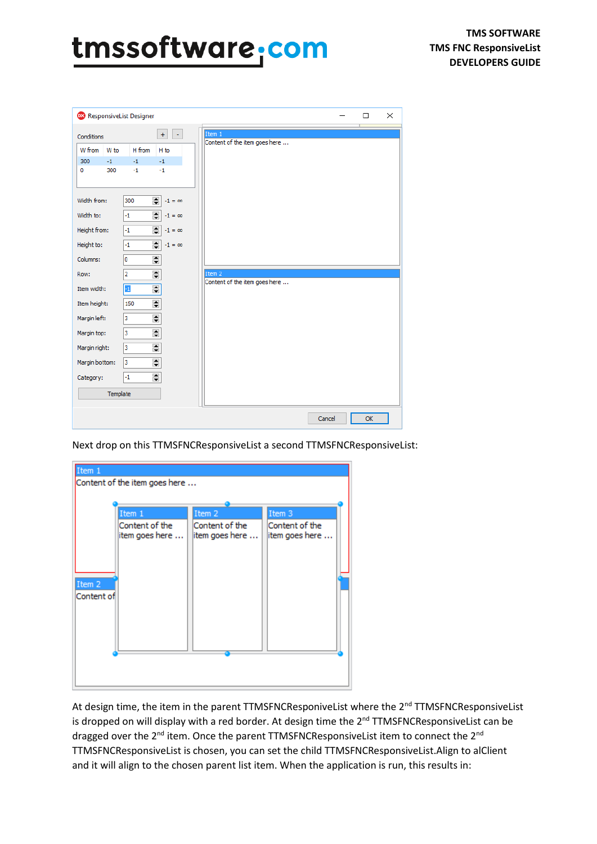### tmssoftware, com

| <b>DX</b> ResponsiveList Designer |                                                  |                       |                                         |  |        | □  | $\times$ |
|-----------------------------------|--------------------------------------------------|-----------------------|-----------------------------------------|--|--------|----|----------|
| Conditions                        |                                                  | $+$<br>$\blacksquare$ | Item 1<br>Content of the item goes here |  |        |    |          |
| W from<br>W to                    | H from                                           | H to                  |                                         |  |        |    |          |
| 300<br>$-1$                       | $-1$                                             | $-1$                  |                                         |  |        |    |          |
| 300<br>$\circ$                    | $-1$                                             | $-1$                  |                                         |  |        |    |          |
| Width from:                       | $\div$<br>300                                    | $-1 = \infty$         |                                         |  |        |    |          |
| Width to:                         | $\div$<br>$-1$                                   | $-1 = \infty$         |                                         |  |        |    |          |
| Height from:                      | $\div$<br>$-1$                                   | $-1 = \infty$         |                                         |  |        |    |          |
| Height to:                        | $\div$<br>$-1$                                   | $-1 = \infty$         |                                         |  |        |    |          |
| Columns:                          | $\div$<br>I٥                                     |                       |                                         |  |        |    |          |
| Row:                              | $\div$<br>$\overline{2}$                         |                       | Item 2                                  |  |        |    |          |
| Item width:                       | $\div$<br>$-1$                                   |                       | Content of the item goes here           |  |        |    |          |
| Item height:                      | $\div$<br>150                                    |                       |                                         |  |        |    |          |
| Margin left:                      | $\div$<br>3                                      |                       |                                         |  |        |    |          |
| Margin top:                       | $\div$<br>3                                      |                       |                                         |  |        |    |          |
| Margin right:                     | $\div$<br>3                                      |                       |                                         |  |        |    |          |
| Margin bottom:                    | $\div$<br>3                                      |                       |                                         |  |        |    |          |
| Category:                         | $\blacktriangle$<br>$-1$<br>$\blacktriangledown$ |                       |                                         |  |        |    |          |
| Template                          |                                                  |                       |                                         |  |        |    |          |
|                                   |                                                  |                       |                                         |  | Cancel | OK |          |

Next drop on this TTMSFNCResponsiveList a second TTMSFNCResponsiveList:

| Item 1               |                                  |                                  |                                  |
|----------------------|----------------------------------|----------------------------------|----------------------------------|
|                      | Content of the item goes here    |                                  |                                  |
|                      |                                  |                                  |                                  |
|                      | Item 1                           | Item 2                           | Item 3                           |
|                      | Content of the<br>item goes here | Content of the<br>item goes here | Content of the<br>item goes here |
|                      |                                  |                                  |                                  |
| Item 2<br>Content of |                                  |                                  |                                  |
|                      |                                  |                                  |                                  |
|                      |                                  |                                  |                                  |
|                      |                                  |                                  |                                  |
|                      |                                  |                                  |                                  |
|                      |                                  |                                  |                                  |

At design time, the item in the parent TTMSFNCResponiveList where the 2<sup>nd</sup> TTMSFNCResponsiveList is dropped on will display with a red border. At design time the  $2<sup>nd</sup>$  TTMSFNCResponsiveList can be dragged over the 2<sup>nd</sup> item. Once the parent TTMSFNCResponsiveList item to connect the 2<sup>nd</sup> TTMSFNCResponsiveList is chosen, you can set the child TTMSFNCResponsiveList.Align to alClient and it will align to the chosen parent list item. When the application is run, this results in: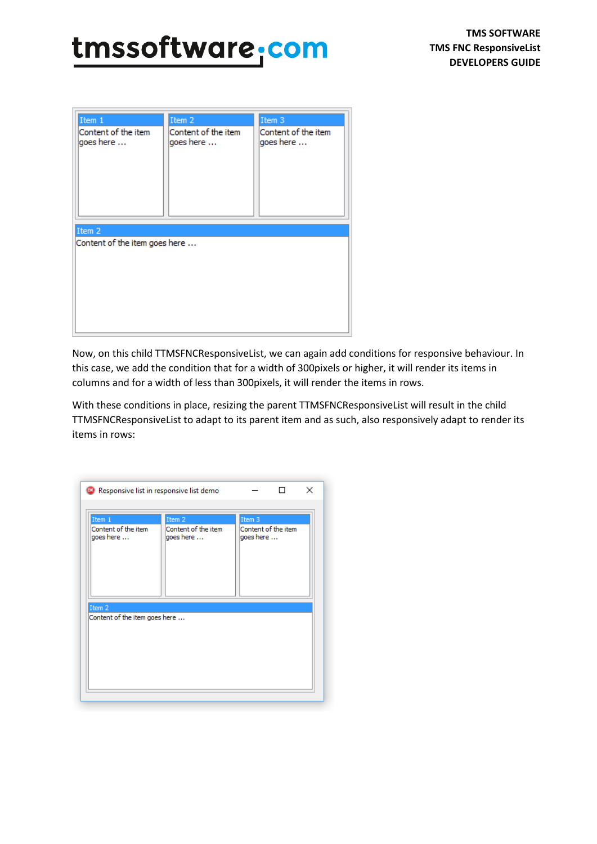### tmssoftware.com

| Item 1                                     | Item 2                           | Item 3                           |
|--------------------------------------------|----------------------------------|----------------------------------|
| Content of the item<br>goes here<br>Item 2 | Content of the item<br>goes here | Content of the item<br>goes here |
| Content of the item goes here              |                                  |                                  |

Now, on this child TTMSFNCResponsiveList, we can again add conditions for responsive behaviour. In this case, we add the condition that for a width of 300pixels or higher, it will render its items in columns and for a width of less than 300pixels, it will render the items in rows.

With these conditions in place, resizing the parent TTMSFNCResponsiveList will result in the child TTMSFNCResponsiveList to adapt to its parent item and as such, also responsively adapt to render its items in rows:

| <sup>00</sup> Responsive list in responsive list demo |                                            | ×                                          |  |
|-------------------------------------------------------|--------------------------------------------|--------------------------------------------|--|
| Item 1<br>Content of the item<br>goes here            | Item 2<br>Content of the item<br>goes here | Item 3<br>Content of the item<br>goes here |  |
| Item 2<br>Content of the item goes here               |                                            |                                            |  |
|                                                       |                                            |                                            |  |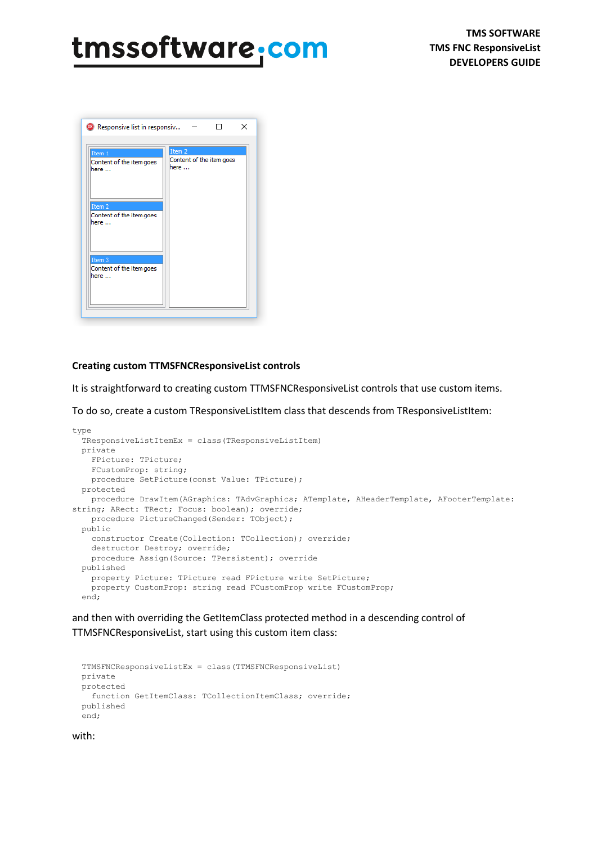| <sup>00</sup> Responsive list in responsiv            | $\times$                                              |
|-------------------------------------------------------|-------------------------------------------------------|
| Item 1<br>Content of the item goes<br>here            | Item <sub>2</sub><br>Content of the item goes<br>here |
| Item <sub>2</sub><br>Content of the item goes<br>here |                                                       |
| Item 3<br>Content of the item goes<br>here            |                                                       |
|                                                       |                                                       |

#### **Creating custom TTMSFNCResponsiveList controls**

It is straightforward to creating custom TTMSFNCResponsiveList controls that use custom items.

To do so, create a custom TResponsiveListItem class that descends from TResponsiveListItem:

```
type
  TResponsiveListItemEx = class(TResponsiveListItem)
  private
    FPicture: TPicture;
    FCustomProp: string;
    procedure SetPicture(const Value: TPicture);
  protected
     procedure DrawItem(AGraphics: TAdvGraphics; ATemplate, AHeaderTemplate, AFooterTemplate: 
string; ARect: TRect; Focus: boolean); override;
    procedure PictureChanged(Sender: TObject);
  public
    constructor Create(Collection: TCollection); override;
    destructor Destroy; override;
    procedure Assign(Source: TPersistent); override
  published
    property Picture: TPicture read FPicture write SetPicture;
    property CustomProp: string read FCustomProp write FCustomProp;
   end;
```
and then with overriding the GetItemClass protected method in a descending control of TTMSFNCResponsiveList, start using this custom item class:

```
 TTMSFNCResponsiveListEx = class(TTMSFNCResponsiveList)
 private
 protected
  function GetItemClass: TCollectionItemClass; override;
 published
 end;
```
#### with: